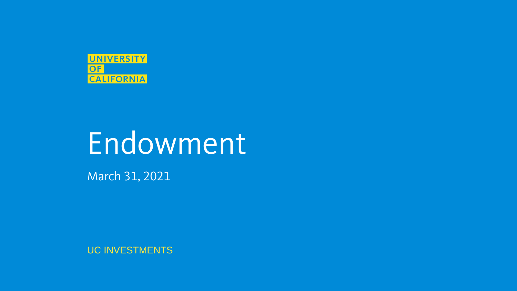

# Endowment

March 31, 2021

UC INVESTMENTS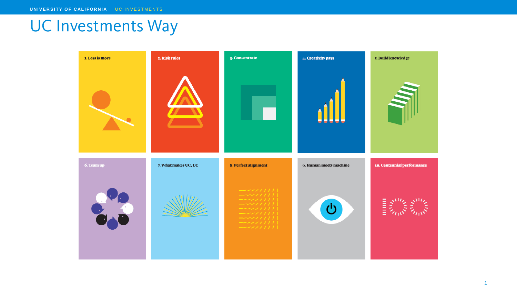# UC Investments Way

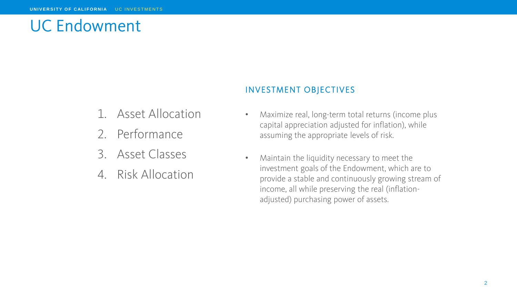# UC Endowment

### INVESTMENT OBJECTIVES

- 1. Asset Allocation
- 2. Performance
- 3. Asset Classes
- 4. Risk Allocation
- Maximize real, long-term total returns (income plus capital appreciation adjusted for inflation), while assuming the appropriate levels of risk.
- Maintain the liquidity necessary to meet the investment goals of the Endowment, which are to provide a stable and continuously growing stream of income, all while preserving the real (inflationadjusted) purchasing power of assets.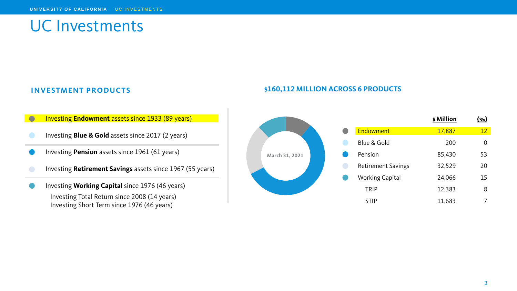# UC Investments

#### **INVESTMENT PRODUCTS**

- **Investing Endowment** assets since 1933 (89 years)
- Investing **Blue & Gold** assets since 2017 (2 years)
- Investing **Pension** assets since 1961 (61 years)
- Investing **Retirement Savings** assets since 1967 (55 years)
- Investing **Working Capital** since 1976 (46 years) Investing Total Return since 2008 (14 years) Investing Short Term since 1976 (46 years)

#### **\$160,112 MILLION ACROSS 6 PRODUCTS**

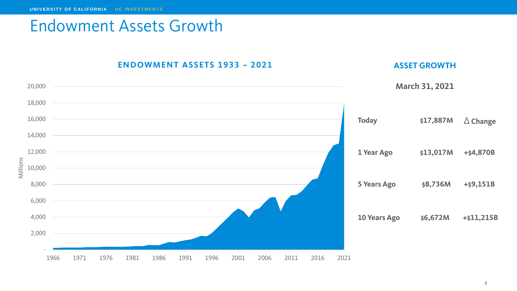### Endowment Assets Growth

**ENDOWMEN T ASSETS 1933 – 2021**

### **ASSET GROWTH**

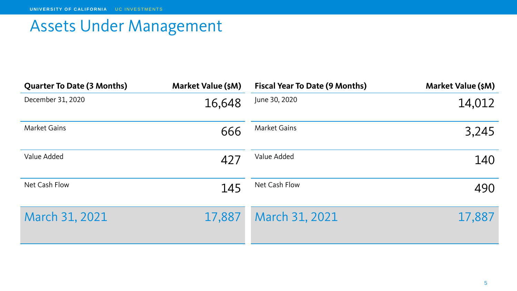# Assets Under Management

| <b>Quarter To Date (3 Months)</b> | <b>Market Value (\$M)</b> | <b>Fiscal Year To Date (9 Months)</b> | <b>Market Value (\$M)</b> |
|-----------------------------------|---------------------------|---------------------------------------|---------------------------|
| December 31, 2020                 | 16,648                    | June 30, 2020                         | 14,012                    |
| <b>Market Gains</b>               | 666                       | <b>Market Gains</b>                   | 3,245                     |
| Value Added                       | 427                       | Value Added                           | 140                       |
| Net Cash Flow                     | 145                       | Net Cash Flow                         | 490                       |
| March 31, 2021                    | 17,887                    | March 31, 2021                        | 17,887                    |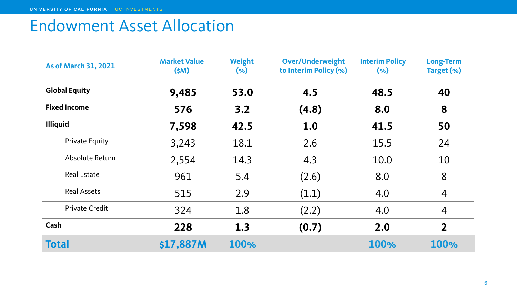# Endowment Asset Allocation

| <b>As of March 31, 2021</b> | <b>Market Value</b><br>\$M\$ | Weight<br>$(\%)$ | <b>Over/Underweight</b><br>to Interim Policy (%) | <b>Interim Policy</b><br>$(\%)$ | <b>Long-Term</b><br>Target (%) |
|-----------------------------|------------------------------|------------------|--------------------------------------------------|---------------------------------|--------------------------------|
| <b>Global Equity</b>        | 9,485                        | 53.0             | 4.5                                              | 48.5                            | 40                             |
| <b>Fixed Income</b>         | 576                          | 3.2              | (4.8)                                            | 8.0                             | 8                              |
| <b>Illiquid</b>             | 7,598                        | 42.5             | 1.0                                              | 41.5                            | 50                             |
| Private Equity              | 3,243                        | 18.1             | 2.6                                              | 15.5                            | 24                             |
| Absolute Return             | 2,554                        | 14.3             | 4.3                                              | 10.0                            | 10                             |
| <b>Real Estate</b>          | 961                          | 5.4              | (2.6)                                            | 8.0                             | 8                              |
| <b>Real Assets</b>          | 515                          | 2.9              | (1.1)                                            | 4.0                             | $\overline{4}$                 |
| Private Credit              | 324                          | 1.8              | (2.2)                                            | 4.0                             | $\overline{4}$                 |
| Cash                        | 228                          | 1.3              | (0.7)                                            | 2.0                             | $\overline{2}$                 |
| <b>Total</b>                | \$17,887M                    | 100%             |                                                  | 100%                            | 100%                           |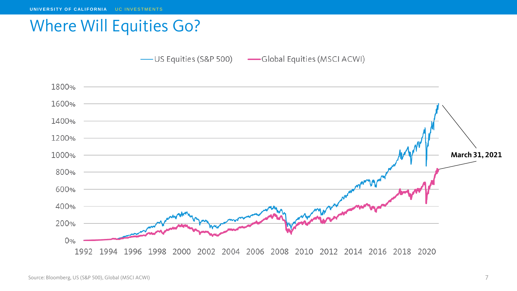## Where Will Equities Go?

- US Equities (S&P 500) - Global Equities (MSCI ACWI)

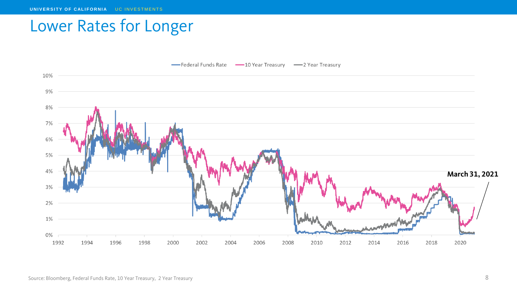# Lower Rates for Longer



Source: Bloomberg, Federal Funds Rate, 10 Year Treasury, 2 Year Treasury 68 and the state of the state of the S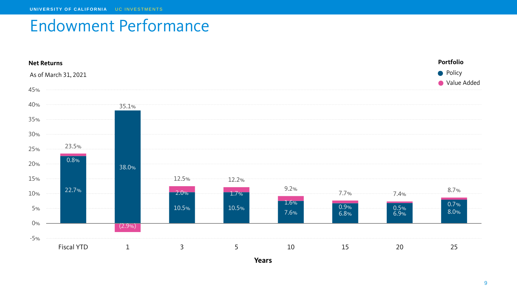# Endowment Performance

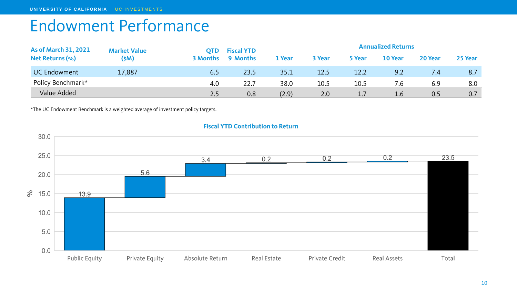# Endowment Performance

| <b>As of March 31, 2021</b> | <b>Market Value</b> | OTD             | <b>Fiscal YTD</b> | <b>Annualized Returns</b> |        |        |               |         | 25 Year |
|-----------------------------|---------------------|-----------------|-------------------|---------------------------|--------|--------|---------------|---------|---------|
| <b>Net Returns (%)</b>      | \$M\$               | <b>3 Months</b> | 9 Months          | 1 Year                    | 3 Year | 5 Year | 10 Year       | 20 Year |         |
| <b>UC Endowment</b>         | 17,887              | 6.5             | 23.5              | 35.1                      | 12.5   | 12.2   | 9.2           | 7.4     | 8.7     |
| Policy Benchmark*           |                     | 4.0             | 22.7              | 38.0                      | 10.5   | 10.5   | 7.6           | 6.9     | 8.0     |
| Value Added                 |                     | 2.5             | 0.8               | (2.9)                     | 2.0    |        | $1.6^{\circ}$ | 0.5     | 0.7     |

\*The UC Endowment Benchmark is a weighted average of investment policy targets.



#### **Fiscal YTD Contribution to Return**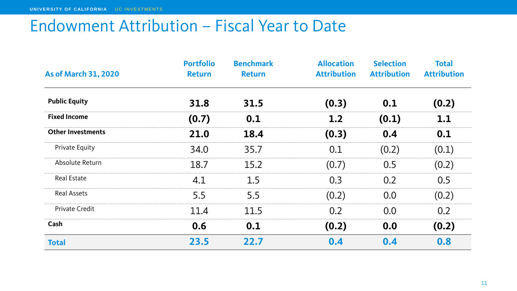## Endowment Attribution – Fiscal Year to Date

| <b>As of March 31, 2020</b> | <b>Portfolio</b><br><b>Return</b> | <b>Benchmark</b><br><b>Return</b> | <b>Allocation</b><br><b>Attribution</b> | <b>Selection</b><br><b>Attribution</b> | <b>Total</b><br><b>Attribution</b> |
|-----------------------------|-----------------------------------|-----------------------------------|-----------------------------------------|----------------------------------------|------------------------------------|
| <b>Public Equity</b>        | 31.8                              | 31.5                              | (0.3)                                   | 0.1                                    | (0.2)                              |
| <b>Fixed Income</b>         | (0.7)                             | 0.1                               | 1.2                                     | (0.1)                                  | 1.1                                |
| <b>Other Investments</b>    | 21.0                              | 18.4                              | (0.3)                                   | 0.4                                    | 0.1                                |
| <b>Private Equity</b>       | 34.0                              | 35.7                              | 0.1                                     | (0.2)                                  | (0.1)                              |
| Absolute Return             | 18.7                              | 15.2                              | (0.7)                                   | 0.5                                    | (0.2)                              |
| <b>Real Estate</b>          | 4.1                               | 1.5                               | 0.3                                     | 0.2                                    | 0.5                                |
| <b>Real Assets</b>          | 5.5                               | 5.5                               | (0.2)                                   | 0.0                                    | (0.2)                              |
| <b>Private Credit</b>       | 11.4                              | 11.5                              | 0.2                                     | 0.0                                    | 0.2                                |
| Cash                        | 0.6                               | 0.1                               | (0.2)                                   | 0.0                                    | (0.2)                              |
| <b>Total</b>                | 23.5                              | 22.7                              | 0.4                                     | 0.4                                    | 0.8                                |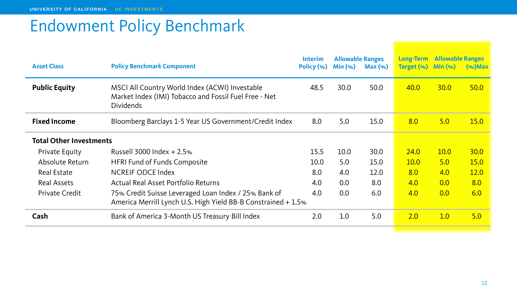# Endowment Policy Benchmark

| <b>Asset Class</b>             | <b>Policy Benchmark Component</b>                                                                                           | <b>Interim</b><br>Policy (%) | <b>Allowable Ranges</b><br>Min (% ) | $Max(\%)$ | <b>Long-Term</b><br>Target (%) | <b>Allowable Ranges</b><br>$Min(\%)$ | $(\%)$ Max  |
|--------------------------------|-----------------------------------------------------------------------------------------------------------------------------|------------------------------|-------------------------------------|-----------|--------------------------------|--------------------------------------|-------------|
| <b>Public Equity</b>           | MSCI All Country World Index (ACWI) Investable<br>Market Index (IMI) Tobacco and Fossil Fuel Free - Net<br><b>Dividends</b> | 48.5                         | 30.0                                | 50.0      | 40.0                           | <b>30.0</b>                          | 50.0        |
| <b>Fixed Income</b>            | Bloomberg Barclays 1-5 Year US Government/Credit Index                                                                      | 8.0                          | 5.0                                 | 15.0      | 8.0                            | 5.0                                  | <b>15.0</b> |
| <b>Total Other Investments</b> |                                                                                                                             |                              |                                     |           |                                |                                      |             |
| <b>Private Equity</b>          | Russell 3000 Index $+ 2.5$ %                                                                                                | 15.5                         | 10.0                                | 30.0      | 24.0                           | <b>10.0</b>                          | <b>30.0</b> |
| Absolute Return                | <b>HFRI Fund of Funds Composite</b>                                                                                         | 10.0                         | 5.0                                 | 15.0      | <b>10.0</b>                    | 5.0                                  | <b>15.0</b> |
| <b>Real Estate</b>             | <b>NCREIF ODCE Index</b>                                                                                                    | 8.0                          | 4.0                                 | 12.0      | 8.0                            | 4.0                                  | <b>12.0</b> |
| <b>Real Assets</b>             | <b>Actual Real Asset Portfolio Returns</b>                                                                                  | 4.0                          | 0.0                                 | 8.0       | 4.0                            | 0.0                                  | 8.0         |
| <b>Private Credit</b>          | 75% Credit Suisse Leveraged Loan Index / 25% Bank of<br>America Merrill Lynch U.S. High Yield BB-B Constrained + 1.5%       | 4.0                          | 0.0                                 | 6.0       | 4.0                            | 0.0                                  | 6.0         |
| Cash                           | Bank of America 3-Month US Treasury Bill Index                                                                              | 2.0                          | 1.0                                 | 5.0       | 2.0                            | 1.0                                  | 5.0         |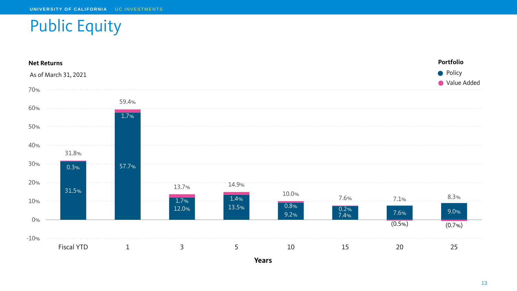# Public Equity

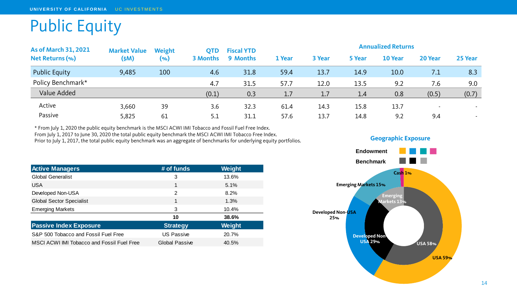# Public Equity

| <b>As of March 31, 2021</b> | <b>Market Value</b><br>\$M\$ | Weight<br>$(\%)$ | <b>OTD</b><br><b>3 Months</b> | <b>Fiscal YTD</b><br>9 Months | <b>Annualized Returns</b> |        |               |         |         |         |
|-----------------------------|------------------------------|------------------|-------------------------------|-------------------------------|---------------------------|--------|---------------|---------|---------|---------|
| <b>Net Returns (%)</b>      |                              |                  |                               |                               | 1 Year                    | 3 Year | <b>5 Year</b> | 10 Year | 20 Year | 25 Year |
| <b>Public Equity</b>        | 9,485                        | 100              | 4.6                           | 31.8                          | 59.4                      | 13.7   | 14.9          | 10.0    | 7.1     | 8.3     |
| Policy Benchmark*           |                              |                  | 4.7                           | 31.5                          | 57.7                      | 12.0   | 13.5          | 9.2     | 7.6     | 9.0     |
| Value Added                 |                              |                  | (0.1)                         | 0.3                           | 1.7                       | 1.7    | 1.4           | 0.8     | (0.5)   | (0.7)   |
| Active                      | 3,660                        | 39               | 3.6                           | 32.3                          | 61.4                      | 14.3   | 15.8          | 13.7    | $\sim$  | $\sim$  |
| Passive                     | 5,825                        | 61               | 5.1                           | 31.1                          | 57.6                      | 13.7   | 14.8          | 9.2     | 9.4     | $\sim$  |

\* From July 1, 2020 the public equity benchmark is the MSCI ACWI IMI Tobacco and Fossil Fuel Free Index. From July 1, 2017 to June 30, 2020 the total public equity benchmark the MSCI ACWI IMI Tobacco Free Index.

Prior to July 1, 2017, the total public equity benchmark was an aggregate of benchmarks for underlying equity portfolios.

| <b>Active Managers</b>                     | # of funds            | Weight |
|--------------------------------------------|-----------------------|--------|
| <b>Global Generalist</b>                   | 3                     | 13.6%  |
| <b>USA</b>                                 | 1                     | 5.1%   |
| Developed Non-USA                          | $\overline{2}$        | 8.2%   |
| <b>Global Sector Specialist</b>            | 1                     | 1.3%   |
| <b>Emerging Markets</b>                    | 3                     | 10.4%  |
|                                            | 10                    | 38.6%  |
| <b>Passive Index Exposure</b>              | <b>Strategy</b>       | Weight |
| S&P 500 Tobacco and Fossil Fuel Free       | <b>US Passive</b>     | 20.7%  |
| MSCI ACWI IMI Tobacco and Fossil Fuel Free | <b>Global Passive</b> | 40.5%  |



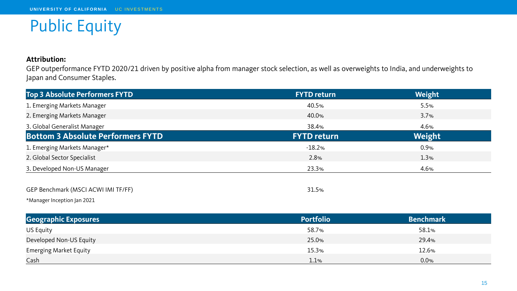# Public Equity

#### **Attribution:**

GEP outperformance FYTD 2020/21 driven by positive alpha from manager stock selection, as well as overweights to India, and underweights to Japan and Consumer Staples.

| <b>Top 3 Absolute Performers FYTD</b>    | <b>FYTD return</b> | Weight |
|------------------------------------------|--------------------|--------|
| 1. Emerging Markets Manager              | 40.5%              | 5.5%   |
| 2. Emerging Markets Manager              | 40.0%              | 3.7%   |
| 3. Global Generalist Manager             | 38.4%              | 4.6%   |
| <b>Bottom 3 Absolute Performers FYTD</b> | <b>FYTD return</b> | Weight |
| 1. Emerging Markets Manager*             | $-18.2%$           | 0.9%   |
| 2. Global Sector Specialist              | 2.8%               | 1.3%   |
| 3. Developed Non-US Manager              | 23.3%              | 4.6%   |
| GEP Benchmark (MSCI ACWI IMI TF/FF)      | 31.5%              |        |

\*Manager Inception Jan 2021

| <b>Geographic Exposures</b>   | <b>Portfolio</b> | <b>Benchmark</b> |
|-------------------------------|------------------|------------------|
| US Equity                     | 58.7%            | 58.1%            |
| Developed Non-US Equity       | 25.0%            | 29.4%            |
| <b>Emerging Market Equity</b> | 15.3%            | 12.6%            |
| Cash                          | 1.1%             | 0.0%             |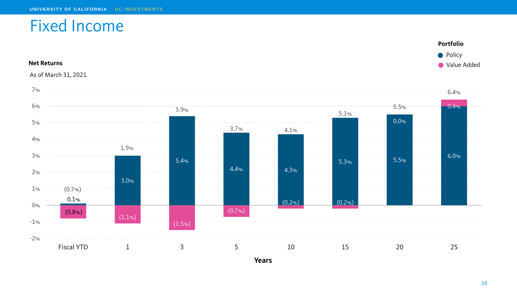### Fixed Income



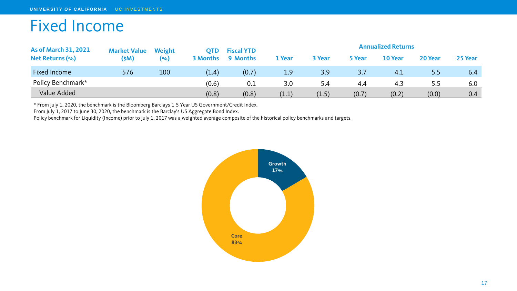# Fixed Income

| <b>As of March 31, 2021</b> | <b>Market Value</b> | Weight | OTD             | <b>Fiscal YTD</b> |        | <b>Annualized Returns</b> |        |         |         |         |  |
|-----------------------------|---------------------|--------|-----------------|-------------------|--------|---------------------------|--------|---------|---------|---------|--|
| <b>Net Returns (%)</b>      | (SM)                | (9)    | <b>3 Months</b> | 9 Months          | 1 Year | 3 Year                    | 5 Year | 10 Year | 20 Year | 25 Year |  |
| Fixed Income                | 576                 | 100    | (1.4)           | (0.7)             | 1.9    | 3.9                       | 3.7    | 4.1     | 5.5     | 6.4     |  |
| Policy Benchmark*           |                     |        | (0.6)           | 0.1               | 3.0    | 5.4                       | 4.4    | 4.3     | 5.5     | 6.0     |  |
| Value Added                 |                     |        | (0.8)           | (0.8)             | (1.1)  | (1.5)                     | (0.7)  | (0.2)   | (0.0)   | 0.4     |  |

\* From July 1, 2020, the benchmark is the Bloomberg Barclays 1-5 Year US Government/Credit Index.

From July 1, 2017 to June 30, 2020, the benchmark is the Barclay's US Aggregate Bond Index.

Policy benchmark for Liquidity (Income) prior to July 1, 2017 was a weighted average composite of the historical policy benchmarks and targets.

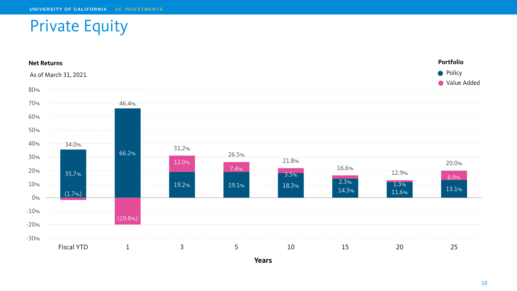# Private Equity

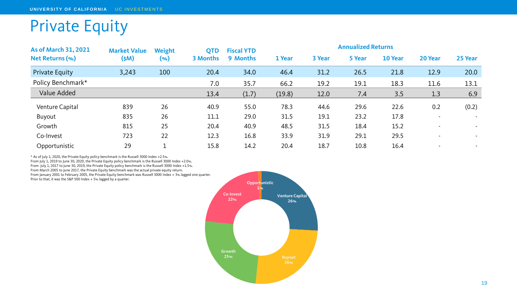# Private Equity

| <b>As of March 31, 2021</b> | <b>Market Value</b> | Weight | <b>QTD</b><br><b>3 Months</b> | <b>Fiscal YTD</b> | <b>Annualized Returns</b> |        |        |         |                |                |  |
|-----------------------------|---------------------|--------|-------------------------------|-------------------|---------------------------|--------|--------|---------|----------------|----------------|--|
| <b>Net Returns (%)</b>      | \$M\$)              | $(\%)$ |                               | <b>9 Months</b>   | 1 Year                    | 3 Year | 5 Year | 10 Year | 20 Year        | 25 Year        |  |
| <b>Private Equity</b>       | 3,243               | 100    | 20.4                          | 34.0              | 46.4                      | 31.2   | 26.5   | 21.8    | 12.9           | 20.0           |  |
| Policy Benchmark*           |                     |        | 7.0                           | 35.7              | 66.2                      | 19.2   | 19.1   | 18.3    | 11.6           | 13.1           |  |
| Value Added                 |                     |        | 13.4                          | (1.7)             | (19.8)                    | 12.0   | 7.4    | 3.5     | 1.3            | 6.9            |  |
| Venture Capital             | 839                 | 26     | 40.9                          | 55.0              | 78.3                      | 44.6   | 29.6   | 22.6    | 0.2            | (0.2)          |  |
| Buyout                      | 835                 | 26     | 11.1                          | 29.0              | 31.5                      | 19.1   | 23.2   | 17.8    |                | $\sim$         |  |
| Growth                      | 815                 | 25     | 20.4                          | 40.9              | 48.5                      | 31.5   | 18.4   | 15.2    |                | $\blacksquare$ |  |
| Co-Invest                   | 723                 | 22     | 12.3                          | 16.8              | 33.9                      | 31.9   | 29.1   | 29.5    | $\blacksquare$ | $\sim$         |  |
| Opportunistic               | 29                  |        | 15.8                          | 14.2              | 20.4                      | 18.7   | 10.8   | 16.4    |                |                |  |

\* As of July 1, 2020, the Private Equity policy benchmark is the Russell 3000 Index +2.5%.

From July 1, 2019 to June 30, 2020, the Private Equity policy benchmark is the Russell 3000 Index +2.0%.

From July 1, 2017 to June 30, 2019, the Private Equity policy benchmark is the Russell 3000 Index +1.5%.

From March 2005 to June 2017, the Private Equity benchmark was the actual private equity return.

From January 2001 to February 2005, the Private Equity benchmark was Russell 3000 Index + 3% lagged one quarter. Prior to that, it was the S&P 500 Index + 5% lagged by a quarter.

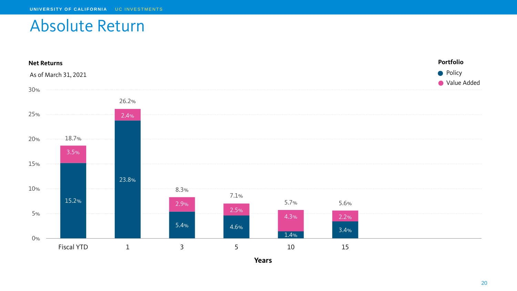# Absolute Return

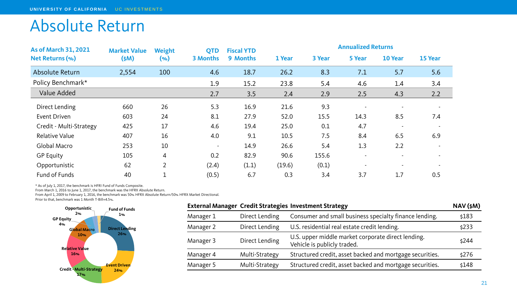# Absolute Return

| <b>As of March 31, 2021</b> | <b>Market Value</b><br>\$M\$ | Weight         | <b>QTD</b>      | <b>Fiscal YTD</b> | <b>Annualized Returns</b> |        |        |                          |                          |
|-----------------------------|------------------------------|----------------|-----------------|-------------------|---------------------------|--------|--------|--------------------------|--------------------------|
| Net Returns (%)             |                              | $(\%)$         | <b>3 Months</b> | 9 Months          | 1 Year                    | 3 Year | 5 Year | 10 Year                  | 15 Year                  |
| Absolute Return             | 2,554                        | 100            | 4.6             | 18.7              | 26.2                      | 8.3    | 7.1    | 5.7                      | 5.6                      |
| Policy Benchmark*           |                              |                | 1.9             | 15.2              | 23.8                      | 5.4    | 4.6    | 1.4                      | 3.4                      |
| Value Added                 |                              |                | 2.7             | 3.5               | 2.4                       | 2.9    | 2.5    | 4.3                      | 2.2                      |
| Direct Lending              | 660                          | 26             | 5.3             | 16.9              | 21.6                      | 9.3    |        | $\overline{\phantom{a}}$ |                          |
| Event Driven                | 603                          | 24             | 8.1             | 27.9              | 52.0                      | 15.5   | 14.3   | 8.5                      | 7.4                      |
| Credit - Multi-Strategy     | 425                          | 17             | 4.6             | 19.4              | 25.0                      | 0.1    | 4.7    | $\blacksquare$           |                          |
| <b>Relative Value</b>       | 407                          | 16             | 4.0             | 9.1               | 10.5                      | 7.5    | 8.4    | 6.5                      | 6.9                      |
| Global Macro                | 253                          | 10             | $\sim$          | 14.9              | 26.6                      | 5.4    | 1.3    | 2.2                      | $\overline{\phantom{a}}$ |
| <b>GP Equity</b>            | 105                          | $\overline{4}$ | 0.2             | 82.9              | 90.6                      | 155.6  |        | $\overline{\phantom{a}}$ |                          |
| Opportunistic               | 62                           | $\overline{2}$ | (2.4)           | (1.1)             | (19.6)                    | (0.1)  |        | $\blacksquare$           |                          |
| Fund of Funds               | 40                           | ᅩ              | (0.5)           | 6.7               | 0.3                       | 3.4    | 3.7    | 1.7                      | 0.5                      |

\* As of July 1, 2017, the benchmark is HFRI Fund of Funds Composite.

From March 1, 2016 to June 1, 2017, the benchmark was the HFRX Absolute Return.

From April 1, 2009 to February 1, 2016, the benchmark was 50% HFRX Absolute Return/50% HFRX Market Directional.

Prior to that, benchmark was 1 Month T-Bill+4.5%.



|           |                | <b>External Manager Credit Strategies Investment Strategy</b>                     | $NAV$ $(\xi M)$ |
|-----------|----------------|-----------------------------------------------------------------------------------|-----------------|
| Manager 1 | Direct Lending | Consumer and small business specialty finance lending.                            | \$183           |
| Manager 2 | Direct Lending | U.S. residential real estate credit lending.                                      | \$233           |
| Manager 3 | Direct Lending | U.S. upper middle market corporate direct lending.<br>Vehicle is publicly traded. | \$244           |
| Manager 4 | Multi-Strategy | Structured credit, asset backed and mortgage securities.                          | \$276           |
| Manager 5 | Multi-Strategy | Structured credit, asset backed and mortgage securities.                          | \$148           |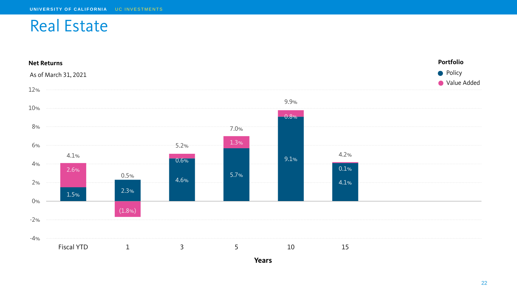## Real Estate

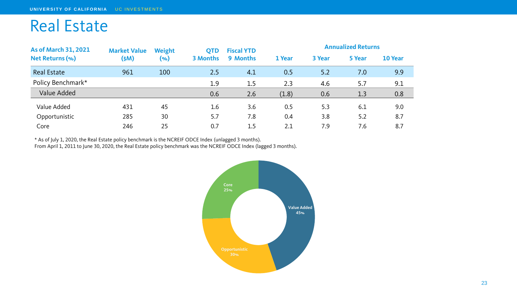# Real Estate

| <b>As of March 31, 2021</b><br>Net Returns (%) | <b>Market Value</b> | Weight<br>(%) | <b>QTD</b><br><b>3 Months</b> | <b>Fiscal YTD</b><br>9 Months | <b>Annualized Returns</b> |        |        |         |
|------------------------------------------------|---------------------|---------------|-------------------------------|-------------------------------|---------------------------|--------|--------|---------|
|                                                | (\$M)               |               |                               |                               | 1 Year                    | 3 Year | 5 Year | 10 Year |
| <b>Real Estate</b>                             | 961                 | 100           | 2.5                           | 4.1                           | 0.5                       | 5.2    | 7.0    | 9.9     |
| Policy Benchmark*                              |                     |               | 1.9                           | 1.5                           | 2.3                       | 4.6    | 5.7    | 9.1     |
| Value Added                                    |                     |               | 0.6                           | 2.6                           | (1.8)                     | 0.6    | 1.3    | 0.8     |
| Value Added                                    | 431                 | 45            | 1.6                           | 3.6                           | 0.5                       | 5.3    | 6.1    | 9.0     |
| Opportunistic                                  | 285                 | 30            | 5.7                           | 7.8                           | 0.4                       | 3.8    | 5.2    | 8.7     |
| Core                                           | 246                 | 25            | 0.7                           | 1.5                           | 2.1                       | 7.9    | 7.6    | 8.7     |

\* As of July 1, 2020, the Real Estate policy benchmark is the NCREIF ODCE Index (unlagged 3 months). From April 1, 2011 to June 30, 2020, the Real Estate policy benchmark was the NCREIF ODCE Index (lagged 3 months).

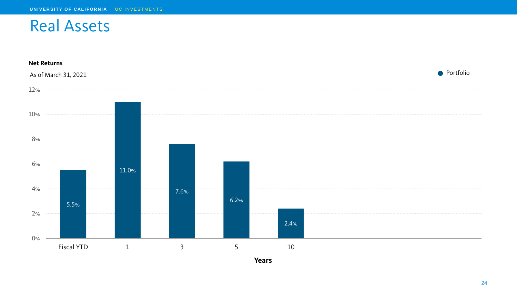## Real Assets

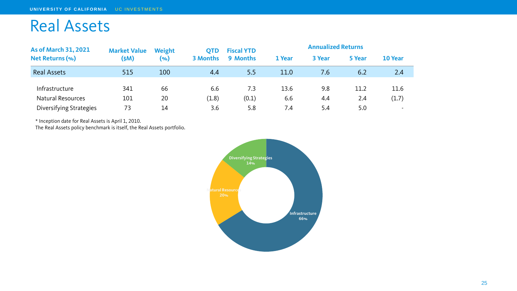# Real Assets

| <b>As of March 31, 2021</b> | <b>Market Value</b> | Weight | <b>OTD</b>      | <b>Fiscal YTD</b> | <b>Annualized Returns</b> |        |        |         |
|-----------------------------|---------------------|--------|-----------------|-------------------|---------------------------|--------|--------|---------|
| Net Returns (%)             | (\$M)               | (%)    | <b>3 Months</b> | 9 Months          | 1 Year                    | 3 Year | 5 Year | 10 Year |
| <b>Real Assets</b>          | 515                 | 100    | 4.4             | 5.5               | 11.0                      | 7.6    | 6.2    | 2.4     |
| Infrastructure              | 341                 | 66     | 6.6             | 7.3               | 13.6                      | 9.8    | 11.2   | 11.6    |
| <b>Natural Resources</b>    | 101                 | 20     | (1.8)           | (0.1)             | 6.6                       | 4.4    | 2.4    | (1.7)   |
| Diversifying Strategies     | 73                  | 14     | 3.6             | 5.8               | 7.4                       | 5.4    | 5.0    | $\sim$  |

\* Inception date for Real Assets is April 1, 2010.

The Real Assets policy benchmark is itself, the Real Assets portfolio.

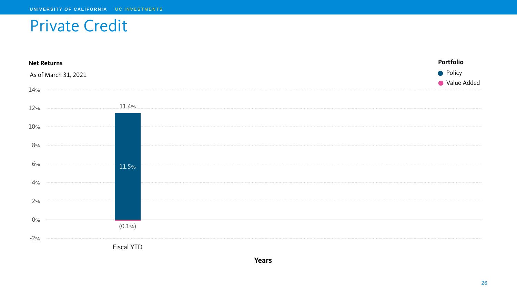# Private Credit

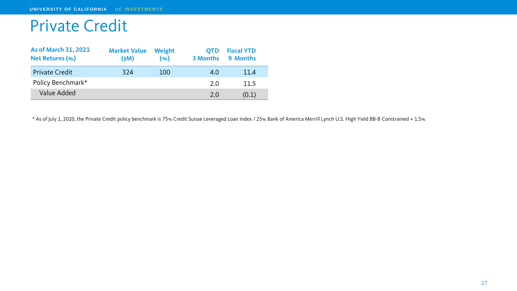# Private Credit

| <b>As of March 31, 2021</b><br>Net Returns (%) | <b>Market Value</b><br>(M) | Weight<br>(9) | <b>OTD</b> | <b>Fiscal YTD</b><br>3 Months 9 Months |
|------------------------------------------------|----------------------------|---------------|------------|----------------------------------------|
| <b>Private Credit</b>                          | 324                        | 100           | 4.0        | 11.4                                   |
| Policy Benchmark*                              |                            |               | 2.0        | 11.5                                   |
| Value Added                                    |                            |               | 2.0        | (0.1)                                  |

\* As of July 1, 2020, the Private Credit policy benchmark is 75% Credit Suisse Leveraged Loan Index / 25% Bank of America Merrill Lynch U.S. High Yield BB-B Constrained + 1.5%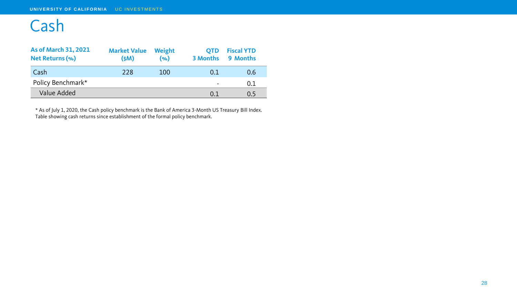# Cash

| <b>As of March 31, 2021</b><br>Net Returns (%) | <b>Market Value Weight</b><br>(M) | (9) |                          | <b>QTD</b> Fiscal YTD<br>3 Months 9 Months |
|------------------------------------------------|-----------------------------------|-----|--------------------------|--------------------------------------------|
| Cash                                           | 228                               | 100 | 0.1                      | 0.6                                        |
| Policy Benchmark*                              |                                   |     | $\overline{\phantom{0}}$ | 0.1                                        |
| Value Added                                    |                                   |     | 0.1                      | 0.5                                        |

\* As of July 1, 2020, the Cash policy benchmark is the Bank of America 3-Month US Treasury Bill Index. Table showing cash returns since establishment of the formal policy benchmark.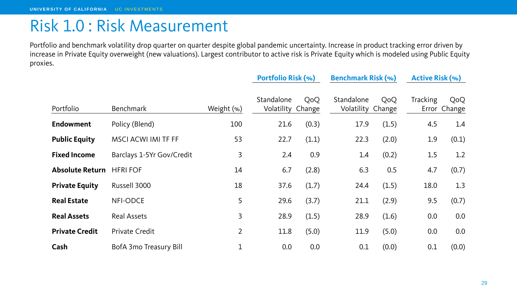### Risk 1.0 : Risk Measurement

Portfolio and benchmark volatility drop quarter on quarter despite global pandemic uncertainty. Increase in product tracking error driven by increase in Private Equity overweight (new valuations). Largest contributor to active risk is Private Equity which is modeled using Public Equity proxies.

|                        |                           |                | <b>Portfolio Risk (%)</b>       |       | <b>Benchmark Risk (%)</b>       |       |                 | <b>Active Risk (%)</b> |  |
|------------------------|---------------------------|----------------|---------------------------------|-------|---------------------------------|-------|-----------------|------------------------|--|
| Portfolio              | <b>Benchmark</b>          | Weight (%)     | Standalone<br>Volatility Change | QoQ   | Standalone<br>Volatility Change | QoQ   | <b>Tracking</b> | QoQ<br>Error Change    |  |
| <b>Endowment</b>       | Policy (Blend)            | 100            | 21.6                            | (0.3) | 17.9                            | (1.5) | 4.5             | 1.4                    |  |
| <b>Public Equity</b>   | MSCI ACWI IMI TF FF       | 53             | 22.7                            | (1.1) | 22.3                            | (2.0) | 1.9             | (0.1)                  |  |
| <b>Fixed Income</b>    | Barclays 1-5Yr Gov/Credit | 3              | 2.4                             | 0.9   | 1.4                             | (0.2) | 1.5             | 1.2                    |  |
| <b>Absolute Return</b> | <b>HFRI FOF</b>           | 14             | 6.7                             | (2.8) | 6.3                             | 0.5   | 4.7             | (0.7)                  |  |
| <b>Private Equity</b>  | Russell 3000              | 18             | 37.6                            | (1.7) | 24.4                            | (1.5) | 18.0            | 1.3                    |  |
| <b>Real Estate</b>     | NFI-ODCE                  | 5              | 29.6                            | (3.7) | 21.1                            | (2.9) | 9.5             | (0.7)                  |  |
| <b>Real Assets</b>     | <b>Real Assets</b>        | 3              | 28.9                            | (1.5) | 28.9                            | (1.6) | 0.0             | 0.0                    |  |
| <b>Private Credit</b>  | <b>Private Credit</b>     | $\overline{2}$ | 11.8                            | (5.0) | 11.9                            | (5.0) | 0.0             | 0.0                    |  |
| Cash                   | BofA 3mo Treasury Bill    | $\mathbf 1$    | 0.0                             | 0.0   | 0.1                             | (0.0) | 0.1             | (0.0)                  |  |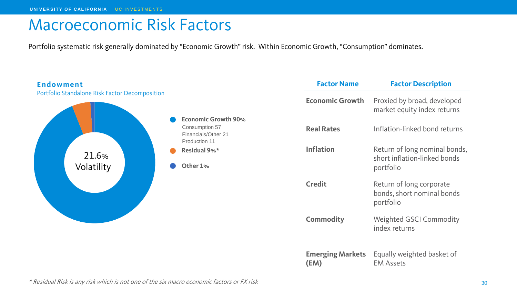# Macroeconomic Risk Factors

Portfolio systematic risk generally dominated by "Economic Growth" risk. Within Economic Growth, "Consumption" dominates.



\* Residual Risk is any risk which is not one of the six macro economic factors or FX risk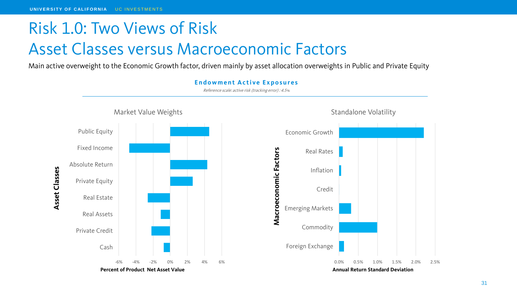# Risk 1.0: Two Views of Risk Asset Classes versus Macroeconomic Factors

Main active overweight to the Economic Growth factor, driven mainly by asset allocation overweights in Public and Private Equity

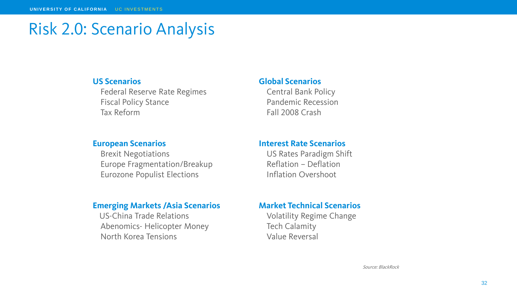# Risk 2.0: Scenario Analysis

#### **US Scenarios**

Federal Reserve Rate Regimes Fiscal Policy Stance Tax Reform

#### **European Scenarios**

Brexit Negotiations Europe Fragmentation/Breakup Eurozone Populist Elections

#### **Emerging Markets /Asia Scenarios**

US-China Trade Relations Abenomics- Helicopter Money North Korea Tensions

#### **Global Scenarios**

Central Bank Policy Pandemic Recession Fall 2008 Crash

#### **Interest Rate Scenarios**

US Rates Paradigm Shift Reflation – Deflation Inflation Overshoot

### **Market Technical Scenarios**

Volatility Regime Change Tech Calamity Value Reversal

Source: BlackRock